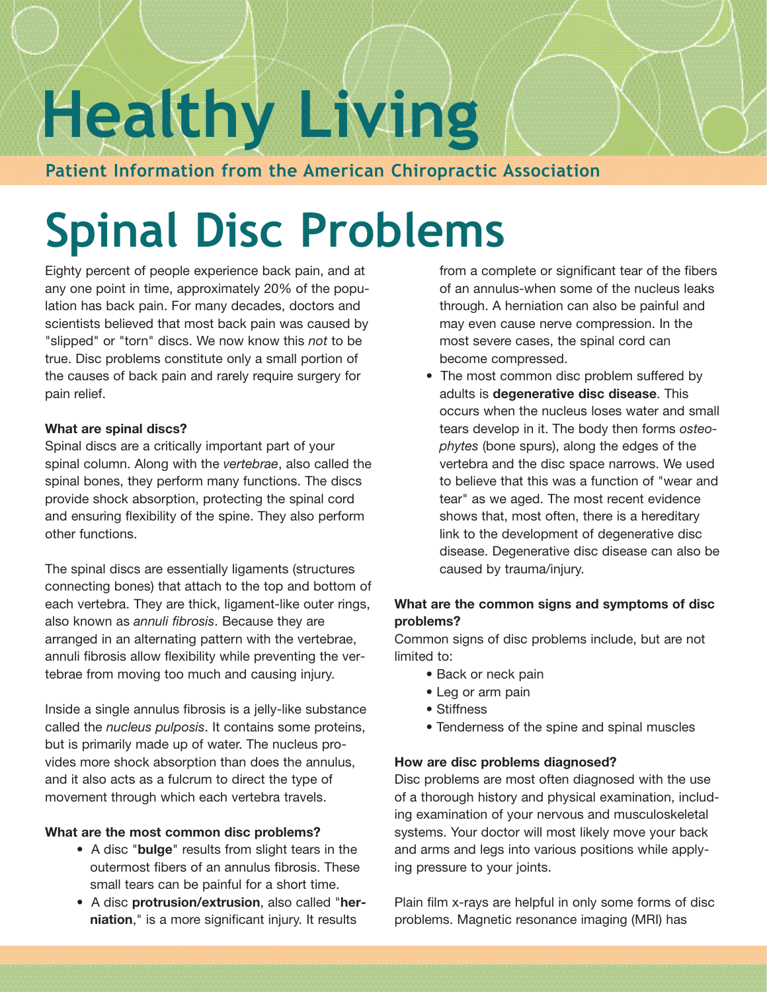# **Healthy Living**

#### **Patient Information from the American Chiropractic Association**

## **Spinal Disc Problems**

Eighty percent of people experience back pain, and at any one point in time, approximately 20% of the population has back pain. For many decades, doctors and scientists believed that most back pain was caused by "slipped" or "torn" discs. We now know this *not* to be true. Disc problems constitute only a small portion of the causes of back pain and rarely require surgery for pain relief.

#### **What are spinal discs?**

Spinal discs are a critically important part of your spinal column. Along with the *vertebrae*, also called the spinal bones, they perform many functions. The discs provide shock absorption, protecting the spinal cord and ensuring flexibility of the spine. They also perform other functions.

The spinal discs are essentially ligaments (structures connecting bones) that attach to the top and bottom of each vertebra. They are thick, ligament-like outer rings, also known as *annuli fibrosis*. Because they are arranged in an alternating pattern with the vertebrae, annuli fibrosis allow flexibility while preventing the vertebrae from moving too much and causing injury.

Inside a single annulus fibrosis is a jelly-like substance called the *nucleus pulposis*. It contains some proteins, but is primarily made up of water. The nucleus provides more shock absorption than does the annulus, and it also acts as a fulcrum to direct the type of movement through which each vertebra travels.

#### **What are the most common disc problems?**

- A disc "**bulge**" results from slight tears in the outermost fibers of an annulus fibrosis. These small tears can be painful for a short time.
- A disc **protrusion/extrusion**, also called "**herniation**," is a more significant injury. It results

from a complete or significant tear of the fibers of an annulus-when some of the nucleus leaks through. A herniation can also be painful and may even cause nerve compression. In the most severe cases, the spinal cord can become compressed.

• The most common disc problem suffered by adults is **degenerative disc disease**. This occurs when the nucleus loses water and small tears develop in it. The body then forms *osteophytes* (bone spurs), along the edges of the vertebra and the disc space narrows. We used to believe that this was a function of "wear and tear" as we aged. The most recent evidence shows that, most often, there is a hereditary link to the development of degenerative disc disease. Degenerative disc disease can also be caused by trauma/injury.

#### **What are the common signs and symptoms of disc problems?**

Common signs of disc problems include, but are not limited to:

- Back or neck pain
- Leg or arm pain
- Stiffness
- Tenderness of the spine and spinal muscles

#### **How are disc problems diagnosed?**

Disc problems are most often diagnosed with the use of a thorough history and physical examination, including examination of your nervous and musculoskeletal systems. Your doctor will most likely move your back and arms and legs into various positions while applying pressure to your joints.

Plain film x-rays are helpful in only some forms of disc problems. Magnetic resonance imaging (MRI) has